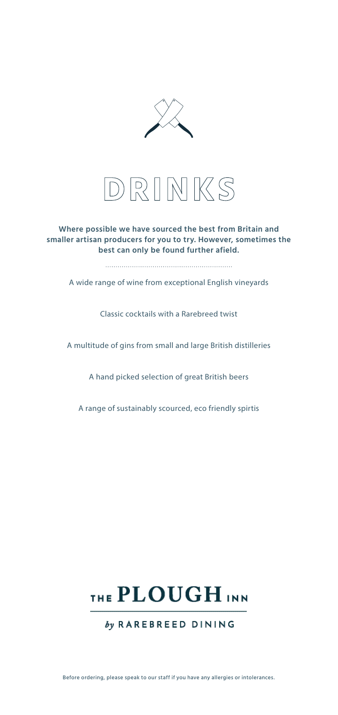



## **Where possible we have sourced the best from Britain and smaller artisan producers for you to try. However, sometimes the best can only be found further afield.**

A wide range of wine from exceptional English vineyards

Classic cocktails with a Rarebreed twist

A multitude of gins from small and large British distilleries

A hand picked selection of great British beers

A range of sustainably scourced, eco friendly spirtis



by RAREBREED DINING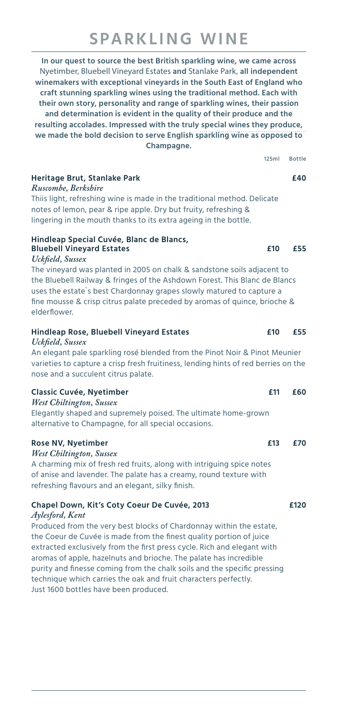# **SPARKLING WINE**

**In our quest to source the best British sparkling wine, we came across**  Nyetimber, Bluebell Vineyard Estates **and** Stanlake Park, **all independent winemakers with exceptional vineyards in the South East of England who craft stunning sparkling wines using the traditional method. Each with their own story, personality and range of sparkling wines, their passion and determination is evident in the quality of their produce and the resulting accolades. Impressed with the truly special wines they produce, we made the bold decision to serve English sparkling wine as opposed to Champagne.**

125ml Bottle **Heritage Brut, Stanlake Park £40** *Ruscombe, Berkshire* Thiis light, refreshing wine is made in the traditional method. Delicate notes of lemon, pear & ripe apple. Dry but fruity, refreshing & lingering in the mouth thanks to its extra ageing in the bottle. **Hindleap Special Cuvée, Blanc de Blancs, Bluebell Vineyard Estates £10 £55** *Uckfield, Sussex*

The vineyard was planted in 2005 on chalk & sandstone soils adjacent to the Bluebell Railway & fringes of the Ashdown Forest. This Blanc de Blancs uses the estate`s best Chardonnay grapes slowly matured to capture a fine mousse & crisp citrus palate preceded by aromas of quince, brioche & elderflower.

# **Hindleap Rose, Bluebell Vineyard Estates £10 £55**

*Uckfield, Sussex* An elegant pale sparkling rosé blended from the Pinot Noir & Pinot Meunier varieties to capture a crisp fresh fruitiness, lending hints of red berries on the nose and a succulent citrus palate.

| <b>Classic Cuvée, Nyetimber</b>                                | <b>£11</b> | £60 |
|----------------------------------------------------------------|------------|-----|
| <b>West Chiltington, Sussex</b>                                |            |     |
| Elegantly shaped and supremely poised. The ultimate home-grown |            |     |
| alternative to Champagne, for all special occasions.           |            |     |

### **Rose NV, Nyetimber £13 £70**

*West Chiltington, Sussex* 

A charming mix of fresh red fruits, along with intriguing spice notes of anise and lavender. The palate has a creamy, round texture with refreshing flavours and an elegant, silky finish.

### **Chapel Down, Kit's Coty Coeur De Cuvée, 2013 £120** *Aylesford, Kent*

Produced from the very best blocks of Chardonnay within the estate, the Coeur de Cuvée is made from the finest quality portion of juice extracted exclusively from the first press cycle. Rich and elegant with aromas of apple, hazelnuts and brioche. The palate has incredible purity and finesse coming from the chalk soils and the specific pressing technique which carries the oak and fruit characters perfectly. Just 1600 bottles have been produced.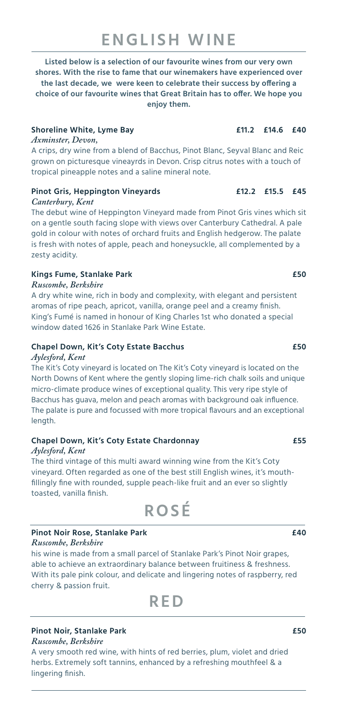# **ENGLISH WINE**

**Listed below is a selection of our favourite wines from our very own shores. With the rise to fame that our winemakers have experienced over the last decade, we were keen to celebrate their success by offering a choice of our favourite wines that Great Britain has to offer. We hope you enjoy them.**

## **Shoreline White, Lyme Bay £11.2 £14.6 £40**

### *Axminster, Devon,*

A crips, dry wine from a blend of Bacchus, Pinot Blanc, Seyval Blanc and Reic grown on picturesque vineayrds in Devon. Crisp citrus notes with a touch of tropical pineapple notes and a saline mineral note.

## **Pinot Gris, Heppington Vineyards £12.2 £15.5 £45** *Canterbury, Kent*

The debut wine of Heppington Vineyard made from Pinot Gris vines which sit on a gentle south facing slope with views over Canterbury Cathedral. A pale gold in colour with notes of orchard fruits and English hedgerow. The palate is fresh with notes of apple, peach and honeysuckle, all complemented by a zesty acidity.

## **Kings Fume, Stanlake Park £50**

## *Ruscombe, Berkshire*

A dry white wine, rich in body and complexity, with elegant and persistent aromas of ripe peach, apricot, vanilla, orange peel and a creamy finish. King's Fumé is named in honour of King Charles 1st who donated a special window dated 1626 in Stanlake Park Wine Estate.

## **Chapel Down, Kit's Coty Estate Bacchus £50**

## *Aylesford, Kent*

The Kit's Coty vineyard is located on The Kit's Coty vineyard is located on the North Downs of Kent where the gently sloping lime-rich chalk soils and unique micro-climate produce wines of exceptional quality. This very ripe style of Bacchus has guava, melon and peach aromas with background oak influence. The palate is pure and focussed with more tropical flavours and an exceptional length.

# **Chapel Down, Kit's Coty Estate Chardonnay £55**

### *Aylesford, Kent*

The third vintage of this multi award winning wine from the Kit's Coty vineyard. Often regarded as one of the best still English wines, it's mouthfillingly fine with rounded, supple peach-like fruit and an ever so slightly toasted, vanilla finish.

# **ROSÉ**

#### **Pinot Noir Rose, Stanlake Park £40** *Ruscombe, Berkshire*

his wine is made from a small parcel of Stanlake Park's Pinot Noir grapes, able to achieve an extraordinary balance between fruitiness & freshness. With its pale pink colour, and delicate and lingering notes of raspberry, red cherry & passion fruit.



# **Pinot Noir, Stanlake Park £50**

*Ruscombe, Berkshire*

A very smooth red wine, with hints of red berries, plum, violet and dried herbs. Extremely soft tannins, enhanced by a refreshing mouthfeel & a lingering finish.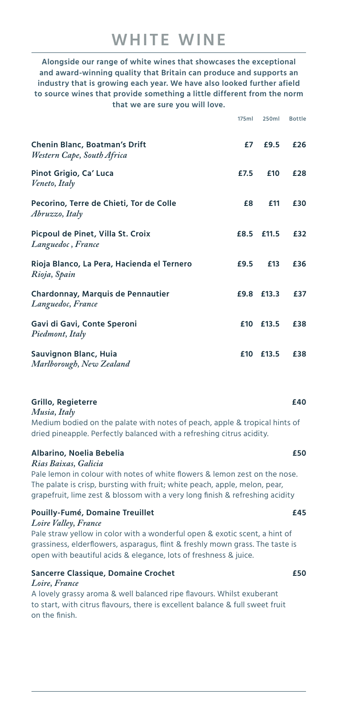# **WHITE WINE**

**Alongside our range of white wines that showcases the exceptional and award-winning quality that Britain can produce and supports an industry that is growing each year. We have also looked further afield to source wines that provide something a little different from the norm that we are sure you will love.**

|                                                                    | 175ml | 250ml | <b>Bottle</b> |
|--------------------------------------------------------------------|-------|-------|---------------|
| <b>Chenin Blanc, Boatman's Drift</b><br>Western Cape, South Africa | £7    | £9.5  | £26           |
| Pinot Grigio, Ca' Luca<br>Veneto, Italy                            | £7.5  | £10   | £28           |
| Pecorino, Terre de Chieti, Tor de Colle<br>Abruzzo, Italy          | £8    | £11   | £30           |
| Picpoul de Pinet, Villa St. Croix<br>Languedoc, France             | £8.5  | £11.5 | £32           |
| Rioja Blanco, La Pera, Hacienda el Ternero<br>Rioja, Spain         | £9.5  | £13   | £36           |
| <b>Chardonnay, Marquis de Pennautier</b><br>Languedoc, France      | £9.8  | £13.3 | £37           |
| Gavi di Gavi, Conte Speroni<br>Piedmont, Italy                     | £10   | £13.5 | £38           |
| Sauvignon Blanc, Huia<br>Marlborough, New Zealand                  | £10   | £13.5 | £38           |

### **Grillo, Regieterre £40**

*Musia, Italy* 

Medium bodied on the palate with notes of peach, apple & tropical hints of dried pineapple. Perfectly balanced with a refreshing citrus acidity.

## **Albarino, Noelia Bebelia £50**

*Rias Baixas, Galicia*

Pale lemon in colour with notes of white flowers & lemon zest on the nose. The palate is crisp, bursting with fruit; white peach, apple, melon, pear, grapefruit, lime zest & blossom with a very long finish & refreshing acidity

## **Pouilly-Fumé, Domaine Treuillet £45**

#### *Loire Valley, France*

Pale straw yellow in color with a wonderful open & exotic scent, a hint of grassiness, elderflowers, asparagus, flint & freshly mown grass. The taste is open with beautiful acids & elegance, lots of freshness & juice.

## **Sancerre Classique, Domaine Crochet £50**

#### *Loire, France*

A lovely grassy aroma & well balanced ripe flavours. Whilst exuberant to start, with citrus flavours, there is excellent balance & full sweet fruit on the finish.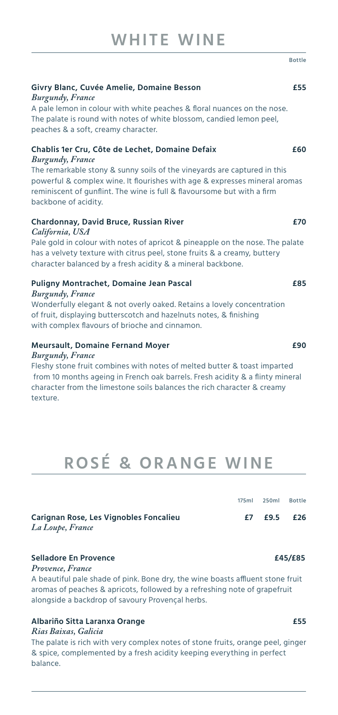|                                                                                                                                                                                                                                                                                                                                          | ם ט נ נ ופ |
|------------------------------------------------------------------------------------------------------------------------------------------------------------------------------------------------------------------------------------------------------------------------------------------------------------------------------------------|------------|
| Givry Blanc, Cuvée Amelie, Domaine Besson<br><b>Burgundy</b> , France<br>A pale lemon in colour with white peaches & floral nuances on the nose.<br>The palate is round with notes of white blossom, candied lemon peel,<br>peaches & a soft, creamy character.                                                                          | £55        |
| Chablis 1er Cru, Côte de Lechet, Domaine Defaix<br><b>Burgundy</b> , France<br>The remarkable stony & sunny soils of the vineyards are captured in this<br>powerful & complex wine. It flourishes with age & expresses mineral aromas<br>reminiscent of gunflint. The wine is full & flavoursome but with a firm<br>backbone of acidity. | £60        |
| Chardonnay, David Bruce, Russian River<br>California, USA<br>Pale gold in colour with notes of apricot & pineapple on the nose. The palate<br>has a velvety texture with citrus peel, stone fruits & a creamy, buttery<br>character balanced by a fresh acidity & a mineral backbone.                                                    | £70        |
| Puligny Montrachet, Domaine Jean Pascal<br><b>Burgundy</b> , France<br>Wonderfully elegant & not overly oaked. Retains a lovely concentration<br>of fruit, displaying butterscotch and hazelnuts notes, & finishing                                                                                                                      | £85        |

with complex flavours of brioche and cinnamon.

### **Meursault, Domaine Fernand Moyer £90**

#### *Burgundy, France*

Fleshy stone fruit combines with notes of melted butter & toast imparted from 10 months ageing in French oak barrels. Fresh acidity & a flinty mineral character from the limestone soils balances the rich character & creamy texture.

# **ROSÉ & ORANGE WINE**

|                                                            |     | 175ml 250ml Bottle |  |
|------------------------------------------------------------|-----|--------------------|--|
| Carignan Rose, Les Vignobles Foncalieu<br>La Loupe, France | £7. | $£9.5$ £26         |  |

#### **Selladore En Provence £45/£85**

#### *Provence, France*

A beautiful pale shade of pink. Bone dry, the wine boasts affluent stone fruit aromas of peaches & apricots, followed by a refreshing note of grapefruit alongside a backdrop of savoury Provençal herbs.

# **Albariño Sitta Laranxa Orange £55**

#### *Rias Baixas, Galicia*

The palate is rich with very complex notes of stone fruits, orange peel, ginger & spice, complemented by a fresh acidity keeping everything in perfect balance.

# Bottle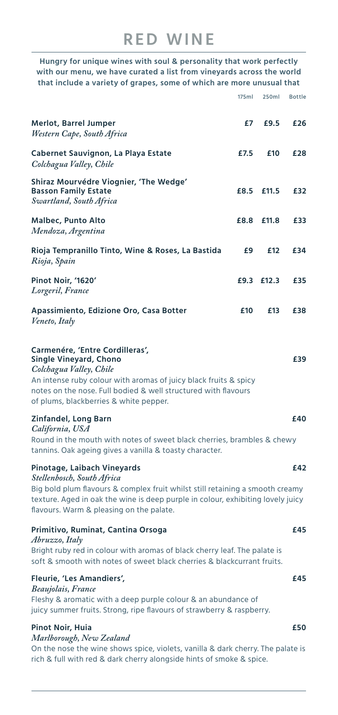**Hungry for unique wines with soul & personality that work perfectly with our menu, we have curated a list from vineyards across the world that include a variety of grapes, some of which are more unusual that** 

|                                                                                                                                                                                                                                                                             | 175ml | 250ml      | <b>Bottle</b> |
|-----------------------------------------------------------------------------------------------------------------------------------------------------------------------------------------------------------------------------------------------------------------------------|-------|------------|---------------|
| <b>Merlot, Barrel Jumper</b><br>Western Cape, South Africa                                                                                                                                                                                                                  | £7    | £9.5       | £26           |
| <b>Cabernet Sauvignon, La Playa Estate</b><br>Colchagua Valley, Chile                                                                                                                                                                                                       | £7.5  | £10        | £28           |
| Shiraz Mourvédre Viognier, 'The Wedge'<br><b>Basson Family Estate</b><br>Swartland, South Africa                                                                                                                                                                            | £8.5  | £11.5      | £32           |
| <b>Malbec, Punto Alto</b><br>Mendoza, Argentina                                                                                                                                                                                                                             | £8.8  | £11.8      | £33           |
| Rioja Tempranillo Tinto, Wine & Roses, La Bastida<br>Rioja, Spain                                                                                                                                                                                                           | £9    | £12        | £34           |
| Pinot Noir, '1620'<br>Lorgeril, France                                                                                                                                                                                                                                      |       | £9.3 £12.3 | £35           |
| Apassimiento, Edizione Oro, Casa Botter<br>Veneto, Italy                                                                                                                                                                                                                    | £10   | £13        | £38           |
| Carmenére, 'Entre Cordilleras',<br><b>Single Vineyard, Chono</b><br>Colchagua Valley, Chile<br>An intense ruby colour with aromas of juicy black fruits & spicy<br>notes on the nose. Full bodied & well structured with flavours<br>of plums, blackberries & white pepper. |       |            | £39           |
| <b>Zinfandel, Long Barn</b><br>California, USA<br>Round in the mouth with notes of sweet black cherries, brambles & chewy<br>tannins. Oak ageing gives a vanilla & toasty character.                                                                                        |       |            | £40           |
| Pinotage, Laibach Vineyards<br>Stellenbosch, South Africa<br>Big bold plum flavours & complex fruit whilst still retaining a smooth creamy<br>texture. Aged in oak the wine is deep purple in colour, exhibiting lovely juicy<br>flavours. Warm & pleasing on the palate.   |       |            | £42           |
| Primitivo, Ruminat, Cantina Orsoga<br>Abruzzo, Italy<br>Bright ruby red in colour with aromas of black cherry leaf. The palate is<br>soft & smooth with notes of sweet black cherries & blackcurrant fruits.                                                                |       |            | £45           |
| Fleurie, 'Les Amandiers',<br>Beaujolais, France<br>Fleshy & aromatic with a deep purple colour & an abundance of<br>juicy summer fruits. Strong, ripe flavours of strawberry & raspberry.                                                                                   |       |            | £45           |
| Pinot Noir, Huia                                                                                                                                                                                                                                                            |       |            | £50           |
| Marlborough, New Zealand<br>On the nose the wine shows spice, violets, vanilla & dark cherry. The palate is<br>rich & full with red & dark cherry alongside hints of smoke & spice.                                                                                         |       |            |               |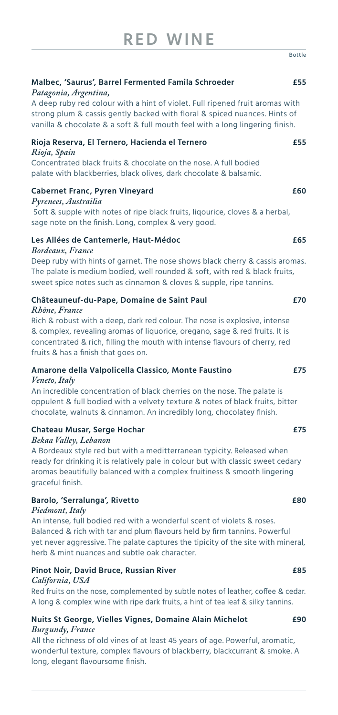| Malbec, 'Saurus', Barrel Fermented Famila Schroeder<br>Patagonia, Argentina,                                                                                                                                                              | £55 |
|-------------------------------------------------------------------------------------------------------------------------------------------------------------------------------------------------------------------------------------------|-----|
| A deep ruby red colour with a hint of violet. Full ripened fruit aromas with<br>strong plum & cassis gently backed with floral & spiced nuances. Hints of<br>vanilla & chocolate & a soft & full mouth feel with a long lingering finish. |     |
| Rioja Reserva, El Ternero, Hacienda el Ternero<br>Rioja, Spain                                                                                                                                                                            | £55 |
| Concentrated black fruits & chocolate on the nose. A full bodied<br>palate with blackberries, black olives, dark chocolate & balsamic.                                                                                                    |     |
| <b>Cabernet Franc, Pyren Vineyard</b><br>Pyrenees, Austrailia                                                                                                                                                                             | £60 |
| Soft & supple with notes of ripe black fruits, ligourice, cloves & a herbal,<br>sage note on the finish. Long, complex & very good.                                                                                                       |     |
| Les Allées de Cantemerle, Haut-Médoc<br>Bordeaux, France                                                                                                                                                                                  | £65 |
| Deep ruby with hints of garnet. The nose shows black cherry & cassis aromas.<br>The palate is medium bodied, well rounded & soft, with red & black fruits,<br>sweet spice notes such as cinnamon & cloves & supple, ripe tannins.         |     |

# **Châteauneuf-du-Pape, Domaine de Saint Paul £70**

### *Rhône, France*

Rich & robust with a deep, dark red colour. The nose is explosive, intense & complex, revealing aromas of liquorice, oregano, sage & red fruits. It is concentrated & rich, filling the mouth with intense flavours of cherry, red fruits & has a finish that goes on.

#### **Amarone della Valpolicella Classico, Monte Faustino £75** *Veneto, Italy*

An incredible concentration of black cherries on the nose. The palate is oppulent & full bodied with a velvety texture & notes of black fruits, bitter chocolate, walnuts & cinnamon. An incredibly long, chocolatey finish.

# **Chateau Musar, Serge Hochar £75**

*Bekaa Valley, Lebanon*

A Bordeaux style red but with a meditterranean typicity. Released when ready for drinking it is relatively pale in colour but with classic sweet cedary aromas beautifully balanced with a complex fruitiness & smooth lingering graceful finish.

## **Barolo, 'Serralunga', Rivetto £80**

### *Piedmont, Italy*

An intense, full bodied red with a wonderful scent of violets & roses. Balanced & rich with tar and plum flavours held by firm tannins. Powerful yet never aggressive. The palate captures the tipicity of the site with mineral, herb & mint nuances and subtle oak character.

# **Pinot Noir, David Bruce, Russian River £85**

## *California, USA*

Red fruits on the nose, complemented by subtle notes of leather, coffee & cedar. A long & complex wine with ripe dark fruits, a hint of tea leaf & silky tannins.

## **Nuits St George, Vielles Vignes, Domaine Alain Michelot £90** *Burgundy, France*

All the richness of old vines of at least 45 years of age. Powerful, aromatic, wonderful texture, complex flavours of blackberry, blackcurrant & smoke. A long, elegant flavoursome finish.

Bottle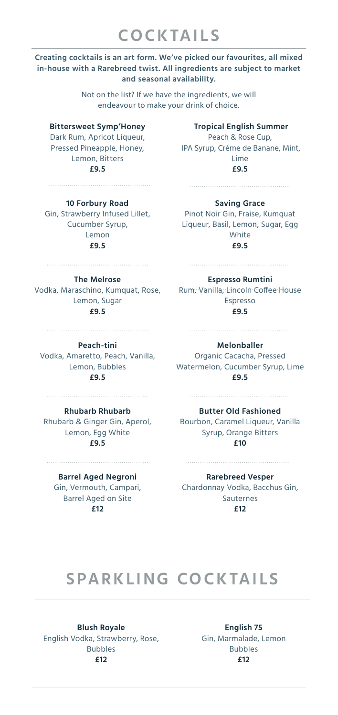# **COCKTAILS**

## **Creating cocktails is an art form. We've picked our favourites, all mixed in-house with a Rarebreed twist. All ingredients are subject to market and seasonal availability.**

Not on the list? If we have the ingredients, we will endeavour to make your drink of choice.

## **Bittersweet Symp'Honey**

Dark Rum, Apricot Liqueur, Pressed Pineapple, Honey, Lemon, Bitters **£9.5**

**10 Forbury Road** Gin, Strawberry Infused Lillet, Cucumber Syrup, Lemon **£9.5**

**Tropical English Summer** Peach & Rose Cup, IPA Syrup, Crème de Banane, Mint,

> Lime **£9.5**

# **Saving Grace**

Pinot Noir Gin, Fraise, Kumquat Liqueur, Basil, Lemon, Sugar, Egg White **£9.5**

# **The Melrose**

Vodka, Maraschino, Kumquat, Rose, Rum, Vanilla, Lincoln Coffee House Lemon, Sugar **£9.5**

**Peach-tini**

Vodka, Amaretto, Peach, Vanilla, Lemon, Bubbles **£9.5**

**Rhubarb Rhubarb** Lemon, Egg White **£9.5**

### **Barrel Aged Negroni**

Gin, Vermouth, Campari, Barrel Aged on Site **£12**

**Espresso Rumtini**

Espresso **£9.5**

# **Melonballer**

Organic Cacacha, Pressed Watermelon, Cucumber Syrup, Lime **£9.5**

Rhubarb & Ginger Gin, Aperol, Bourbon, Caramel Liqueur, Vanilla **Butter Old Fashioned** Syrup, Orange Bitters **£10**

#### **Rarebreed Vesper**

Chardonnay Vodka, Bacchus Gin, Sauternes **£12**

# **SPARKLING COCKTAILS**

**Blush Royale** English Vodka, Strawberry, Rose, Bubbles **£12**

**English 75** Gin, Marmalade, Lemon Bubbles **£12**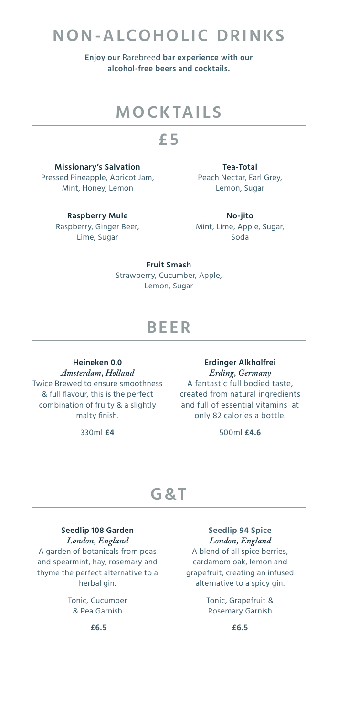# **NON-ALCOHOLIC DRINKS**

**Enjoy our** Rarebreed **bar experience with our alcohol-free beers and cocktails.**

# **MOCKTAILS**

# **£ 5**

**Missionary's Salvation** Pressed Pineapple, Apricot Jam, Mint, Honey, Lemon

**Tea-Total** Peach Nectar, Earl Grey, Lemon, Sugar

**Raspberry Mule** Raspberry, Ginger Beer, Lime, Sugar

**No-jito** Mint, Lime, Apple, Sugar, Soda

**Fruit Smash** Strawberry, Cucumber, Apple, Lemon, Sugar

# **BEER**

**Heineken 0.0** *Amsterdam, Holland* Twice Brewed to ensure smoothness & full flavour, this is the perfect combination of fruity & a slightly malty finish.

330ml **£4**

**Erdinger Alkholfrei** *Erding, Germany* A fantastic full bodied taste, created from natural ingredients and full of essential vitamins at only 82 calories a bottle.

500ml **£4.6**

# **G&T**

### **Seedlip 108 Garden** *London, England*

A garden of botanicals from peas and spearmint, hay, rosemary and thyme the perfect alternative to a herbal gin.

> Tonic, Cucumber & Pea Garnish

> > **£6.5**

# **Seedlip 94 Spice** *London, England*

A blend of all spice berries, cardamom oak, lemon and grapefruit, creating an infused alternative to a spicy gin.

> Tonic, Grapefruit & Rosemary Garnish

> > **£6.5**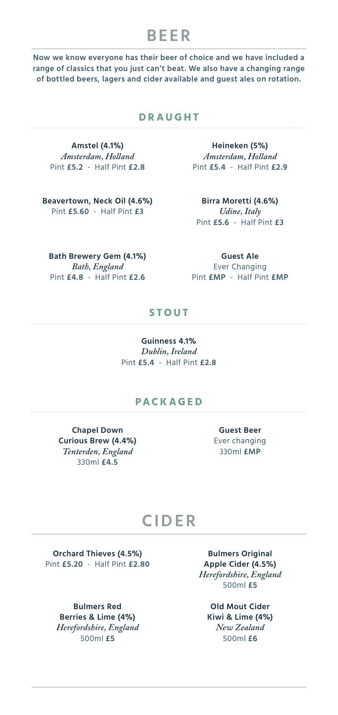# **BEER**

**Now we know everyone has their beer of choice and we have included a range of classics that you just can't beat. We also have a changing range of bottled beers, lagers and cider available and guest ales on rotation.**

## **DRAUGHT**

**Amstel (4.1%)** *Amsterdam, Holland* Pint **£5.2** - Half Pint **£2.8**

**Beavertown, Neck Oil (4.6%)** Pint **£5.60** - Half Pint **£3**

**Heineken (5%)** *Amsterdam, Holland* Pint **£5.4** - Half Pint **£2.9**

> **Birra Moretti (4.6%)** *Udine, Italy* Pint **£5.6** - Half Pint **£3**

**Bath Brewery Gem (4.1%)** *Bath, England* Pint **£4.8** - Half Pint **£2.6**

**Guest Ale** Ever Changing Pint **£MP** - Half Pint **£MP**

# **STOUT**

**Guinness 4.1%** *Dublin, Ireland* Pint **£5.4** - Half Pint **£2.8**

## **PACKAGED**

**Chapel Down Curious Brew (4.4%)** *Tenterden, England* 330ml **£4.5**

**Guest Beer** Ever changing 330ml **£MP**

# **CIDER**

**Orchard Thieves (4.5%)** Pint **£5.20** - Half Pint **£2.80**

**Bulmers Red Berries & Lime (4%)** *Herefordshire, England* 500ml **£5**

**Bulmers Original Apple Cider (4.5%)** *Herefordshire, England* 500ml **£5**

**Old Mout Cider Kiwi & Lime (4%)** *New Zealand* 500ml **£6**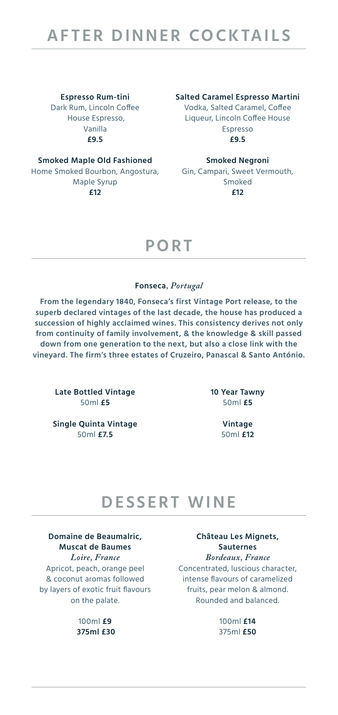**Espresso Rum-tini** Dark Rum, Lincoln Coffee House Espresso, Vanilla **£9.5**

**Smoked Maple Old Fashioned** Home Smoked Bourbon, Angostura, Gin, Campari, Sweet Vermouth, Maple Syrup **£12**

**Salted Caramel Espresso Martini**

Vodka, Salted Caramel, Coffee Liqueur, Lincoln Coffee House Espresso **£9.5**

#### **Smoked Negroni**

Smoked **£12**

# **PORT**

### **Fonseca***, Portugal*

**From the legendary 1840, Fonseca's first Vintage Port release, to the superb declared vintages of the last decade, the house has produced a succession of highly acclaimed wines. This consistency derives not only from continuity of family involvement, & the knowledge & skill passed down from one generation to the next, but also a close link with the vineyard. The firm's three estates of Cruzeiro, Panascal & Santo António.**

**Late Bottled Vintage** 50ml **£5**

**Single Quinta Vintage** 50ml **£7.5**

**10 Year Tawny** 50ml **£5**

> **Vintage** 50ml **£12**

# **DESSERT WINE**

**Domaine de Beaumalric, Muscat de Baumes** *Loire, France* Apricot, peach, orange peel & coconut aromas followed by layers of exotic fruit flavours on the palate.

> 100ml **£9 375ml £30**

**Château Les Mignets, Sauternes** *Bordeaux, France* Concentrated, luscious character, intense flavours of caramelized fruits, pear melon & almond. Rounded and balanced.

> 100ml **£14** 375ml **£50**